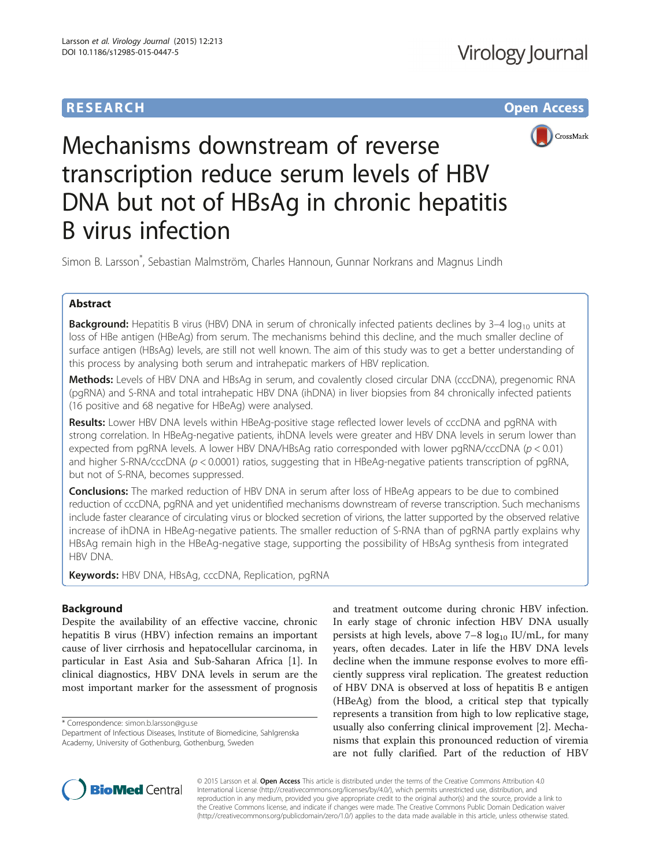# **RESEARCH RESEARCH** *CHECK CHECK CHECK CHECK CHECK CHECK CHECK CHECK CHECK CHECK CHECK CHECK CHECK CHECK CHECK CHECK CHECK CHECK CHECK CHECK CHECK CHECK CHECK CHECK CHECK CHECK CHECK CHECK CHECK CHECK CHECK CHECK CHECK*



# Mechanisms downstream of reverse transcription reduce serum levels of HBV DNA but not of HBsAg in chronic hepatitis B virus infection

Simon B. Larsson\* , Sebastian Malmström, Charles Hannoun, Gunnar Norkrans and Magnus Lindh

# Abstract

Background: Hepatitis B virus (HBV) DNA in serum of chronically infected patients declines by 3-4 log<sub>10</sub> units at loss of HBe antigen (HBeAg) from serum. The mechanisms behind this decline, and the much smaller decline of surface antigen (HBsAg) levels, are still not well known. The aim of this study was to get a better understanding of this process by analysing both serum and intrahepatic markers of HBV replication.

Methods: Levels of HBV DNA and HBsAg in serum, and covalently closed circular DNA (cccDNA), pregenomic RNA (pgRNA) and S-RNA and total intrahepatic HBV DNA (ihDNA) in liver biopsies from 84 chronically infected patients (16 positive and 68 negative for HBeAg) were analysed.

Results: Lower HBV DNA levels within HBeAg-positive stage reflected lower levels of cccDNA and pgRNA with strong correlation. In HBeAg-negative patients, ihDNA levels were greater and HBV DNA levels in serum lower than expected from pgRNA levels. A lower HBV DNA/HBsAg ratio corresponded with lower pgRNA/cccDNA ( $p < 0.01$ ) and higher S-RNA/cccDNA ( $p < 0.0001$ ) ratios, suggesting that in HBeAg-negative patients transcription of pgRNA, but not of S-RNA, becomes suppressed.

**Conclusions:** The marked reduction of HBV DNA in serum after loss of HBeAg appears to be due to combined reduction of cccDNA, pgRNA and yet unidentified mechanisms downstream of reverse transcription. Such mechanisms include faster clearance of circulating virus or blocked secretion of virions, the latter supported by the observed relative increase of ihDNA in HBeAg-negative patients. The smaller reduction of S-RNA than of pgRNA partly explains why HBsAg remain high in the HBeAg-negative stage, supporting the possibility of HBsAg synthesis from integrated HBV DNA.

**Keywords:** HBV DNA, HBsAg, cccDNA, Replication, pgRNA

# Background

Despite the availability of an effective vaccine, chronic hepatitis B virus (HBV) infection remains an important cause of liver cirrhosis and hepatocellular carcinoma, in particular in East Asia and Sub-Saharan Africa [[1\]](#page-6-0). In clinical diagnostics, HBV DNA levels in serum are the most important marker for the assessment of prognosis

\* Correspondence: [simon.b.larsson@gu.se](mailto:simon.b.larsson@gu.se)

Department of Infectious Diseases, Institute of Biomedicine, Sahlgrenska Academy, University of Gothenburg, Gothenburg, Sweden

and treatment outcome during chronic HBV infection. In early stage of chronic infection HBV DNA usually persists at high levels, above  $7-8 \log_{10} IU/mL$ , for many years, often decades. Later in life the HBV DNA levels decline when the immune response evolves to more efficiently suppress viral replication. The greatest reduction of HBV DNA is observed at loss of hepatitis B e antigen (HBeAg) from the blood, a critical step that typically represents a transition from high to low replicative stage, usually also conferring clinical improvement [[2\]](#page-6-0). Mechanisms that explain this pronounced reduction of viremia are not fully clarified. Part of the reduction of HBV



© 2015 Larsson et al. Open Access This article is distributed under the terms of the Creative Commons Attribution 4.0 International License [\(http://creativecommons.org/licenses/by/4.0/](http://creativecommons.org/licenses/by/4.0/)), which permits unrestricted use, distribution, and reproduction in any medium, provided you give appropriate credit to the original author(s) and the source, provide a link to the Creative Commons license, and indicate if changes were made. The Creative Commons Public Domain Dedication waiver [\(http://creativecommons.org/publicdomain/zero/1.0/](http://creativecommons.org/publicdomain/zero/1.0/)) applies to the data made available in this article, unless otherwise stated.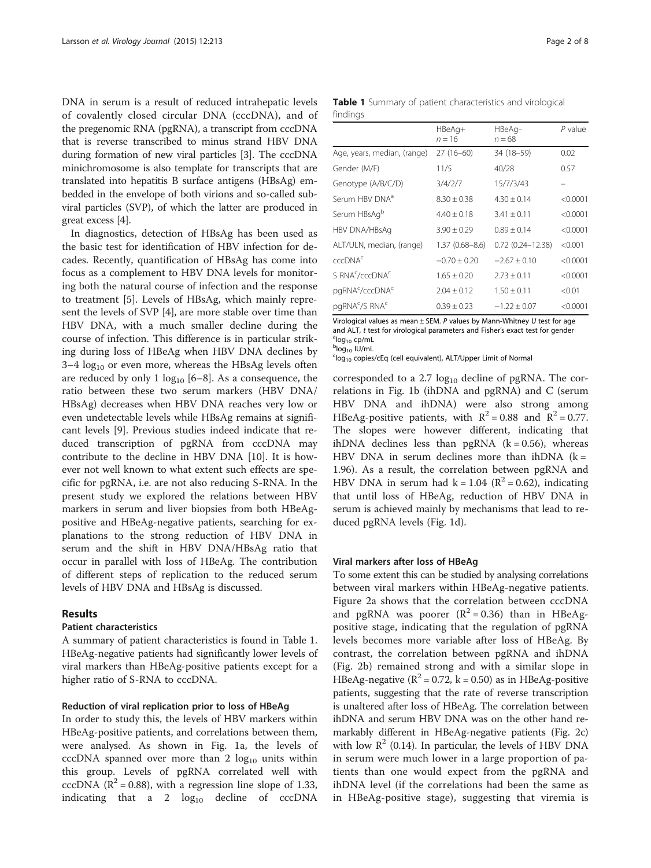DNA in serum is a result of reduced intrahepatic levels of covalently closed circular DNA (cccDNA), and of the pregenomic RNA (pgRNA), a transcript from cccDNA that is reverse transcribed to minus strand HBV DNA during formation of new viral particles [[3\]](#page-6-0). The cccDNA minichromosome is also template for transcripts that are translated into hepatitis B surface antigens (HBsAg) embedded in the envelope of both virions and so-called subviral particles (SVP), of which the latter are produced in great excess [[4\]](#page-6-0).

In diagnostics, detection of HBsAg has been used as the basic test for identification of HBV infection for decades. Recently, quantification of HBsAg has come into focus as a complement to HBV DNA levels for monitoring both the natural course of infection and the response to treatment [[5\]](#page-6-0). Levels of HBsAg, which mainly represent the levels of SVP [\[4](#page-6-0)], are more stable over time than HBV DNA, with a much smaller decline during the course of infection. This difference is in particular striking during loss of HBeAg when HBV DNA declines by  $3-4 \log_{10}$  or even more, whereas the HBsAg levels often are reduced by only 1  $log_{10}$  [[6](#page-6-0)–[8\]](#page-6-0). As a consequence, the ratio between these two serum markers (HBV DNA/ HBsAg) decreases when HBV DNA reaches very low or even undetectable levels while HBsAg remains at significant levels [\[9](#page-6-0)]. Previous studies indeed indicate that reduced transcription of pgRNA from cccDNA may contribute to the decline in HBV DNA [[10\]](#page-7-0). It is however not well known to what extent such effects are specific for pgRNA, i.e. are not also reducing S-RNA. In the present study we explored the relations between HBV markers in serum and liver biopsies from both HBeAgpositive and HBeAg-negative patients, searching for explanations to the strong reduction of HBV DNA in serum and the shift in HBV DNA/HBsAg ratio that occur in parallel with loss of HBeAg. The contribution of different steps of replication to the reduced serum levels of HBV DNA and HBsAg is discussed.

# Results

#### Patient characteristics

A summary of patient characteristics is found in Table 1. HBeAg-negative patients had significantly lower levels of viral markers than HBeAg-positive patients except for a higher ratio of S-RNA to cccDNA.

# Reduction of viral replication prior to loss of HBeAg

In order to study this, the levels of HBV markers within HBeAg-positive patients, and correlations between them, were analysed. As shown in Fig. [1a](#page-2-0), the levels of cccDNA spanned over more than 2  $log_{10}$  units within this group. Levels of pgRNA correlated well with cccDNA ( $\mathbb{R}^2$  = 0.88), with a regression line slope of 1.33, indicating that a 2  $log_{10}$  decline of cccDNA Table 1 Summary of patient characteristics and virological findings

|                                         | HBeAg+<br>$n = 16$ | HBeAg-<br>$n = 68$      | $P$ value |
|-----------------------------------------|--------------------|-------------------------|-----------|
| Age, years, median, (range)             | $27(16-60)$        | 34 (18-59)              | 0.02      |
| Gender (M/F)                            | 11/5               | 40/28                   | 0.57      |
| Genotype (A/B/C/D)                      | 3/4/2/7            | 15/7/3/43               |           |
| Serum HBV DNA <sup>a</sup>              | $8.30 + 0.38$      | $4.30 + 0.14$           | < 0.0001  |
| Serum HBsAg <sup>b</sup>                | $4.40 + 0.18$      | $3.41 + 0.11$           | < 0.0001  |
| HBV DNA/HBsAg                           | $3.90 + 0.29$      | $0.89 + 0.14$           | < 0.0001  |
| ALT/ULN, median, (range)                | $1.37(0.68 - 8.6)$ | $0.72$ $(0.24 - 12.38)$ | < 0.001   |
| cccDNA <sup>c</sup>                     | $-0.70 + 0.20$     | $-2.67 + 0.10$          | < 0.0001  |
| S RNA <sup>c</sup> /cccDNA <sup>c</sup> | $1.65 + 0.20$      | $2.73 + 0.11$           | < 0.0001  |
| pgRNA <sup>c</sup> /cccDNA <sup>c</sup> | $2.04 + 0.12$      | $1.50 \pm 0.11$         | < 0.01    |
| pgRNA <sup>c</sup> /S RNA <sup>c</sup>  | $0.39 \pm 0.23$    | $-1.22 + 0.07$          | < 0.0001  |

Virological values as mean  $\pm$  SEM. P values by Mann-Whitney U test for age and ALT, t test for virological parameters and Fisher's exact test for gender  $\mathrm{^{a}log_{10}}$  cp/mL <sup>b</sup>log<sub>10</sub> IU/mL

 $^{c}$ log<sub>10</sub> copies/cEq (cell equivalent), ALT/Upper Limit of Normal

corresponded to a 2.7  $log_{10}$  decline of pgRNA. The correlations in Fig. [1b](#page-2-0) (ihDNA and pgRNA) and C (serum HBV DNA and ihDNA) were also strong among HBeAg-positive patients, with  $R^2 = 0.88$  and  $R^2 = 0.77$ . The slopes were however different, indicating that ihDNA declines less than pgRNA  $(k = 0.56)$ , whereas HBV DNA in serum declines more than ihDNA  $(k =$ 1.96). As a result, the correlation between pgRNA and HBV DNA in serum had  $k = 1.04$  ( $R^2 = 0.62$ ), indicating that until loss of HBeAg, reduction of HBV DNA in serum is achieved mainly by mechanisms that lead to reduced pgRNA levels (Fig. [1d\)](#page-2-0).

#### Viral markers after loss of HBeAg

To some extent this can be studied by analysing correlations between viral markers within HBeAg-negative patients. Figure [2a](#page-2-0) shows that the correlation between cccDNA and pgRNA was poorer  $(R^2 = 0.36)$  than in HBeAgpositive stage, indicating that the regulation of pgRNA levels becomes more variable after loss of HBeAg. By contrast, the correlation between pgRNA and ihDNA (Fig. [2b\)](#page-2-0) remained strong and with a similar slope in HBeAg-negative ( $\mathbb{R}^2$  = 0.72, k = 0.50) as in HBeAg-positive patients, suggesting that the rate of reverse transcription is unaltered after loss of HBeAg. The correlation between ihDNA and serum HBV DNA was on the other hand remarkably different in HBeAg-negative patients (Fig. [2c\)](#page-2-0) with low  $\mathbb{R}^2$  (0.14). In particular, the levels of HBV DNA in serum were much lower in a large proportion of patients than one would expect from the pgRNA and ihDNA level (if the correlations had been the same as in HBeAg-positive stage), suggesting that viremia is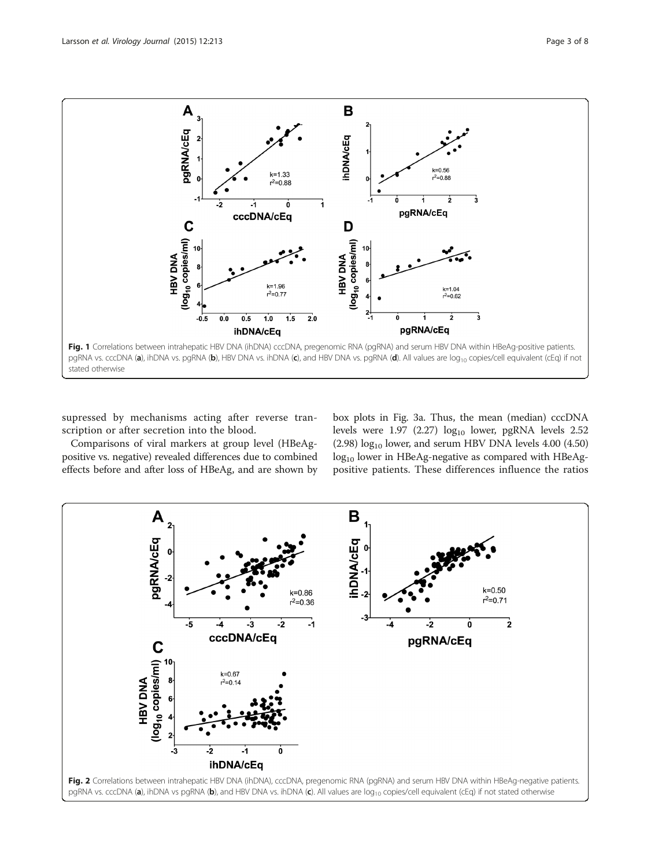<span id="page-2-0"></span>

supressed by mechanisms acting after reverse transcription or after secretion into the blood.

Comparisons of viral markers at group level (HBeAgpositive vs. negative) revealed differences due to combined effects before and after loss of HBeAg, and are shown by box plots in Fig. [3a](#page-3-0). Thus, the mean (median) cccDNA levels were  $1.97$  (2.27)  $log_{10}$  lower, pgRNA levels 2.52  $(2.98)$  log<sub>10</sub> lower, and serum HBV DNA levels 4.00  $(4.50)$  $\log_{10}$  lower in HBeAg-negative as compared with HBeAgpositive patients. These differences influence the ratios

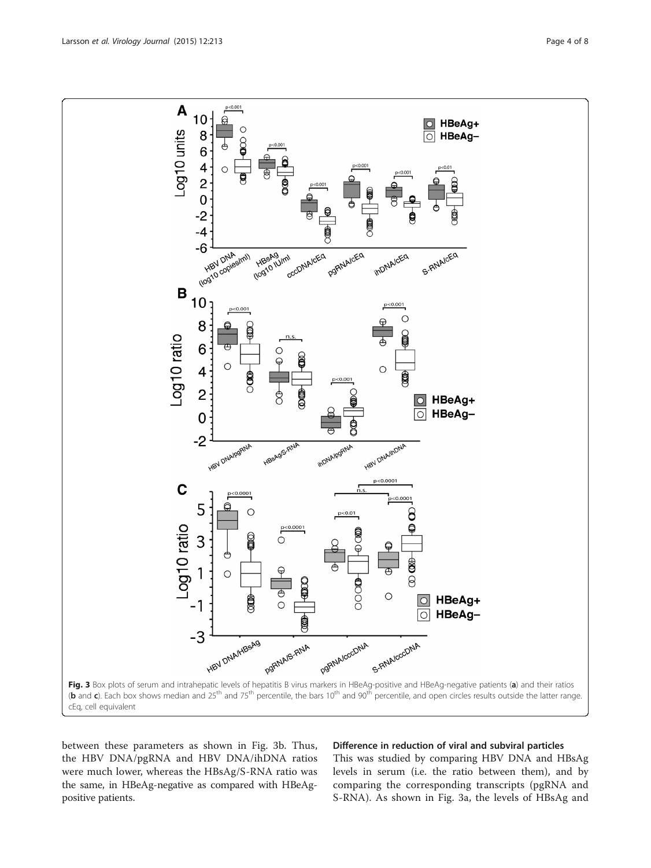<span id="page-3-0"></span>

between these parameters as shown in Fig. 3b. Thus, the HBV DNA/pgRNA and HBV DNA/ihDNA ratios were much lower, whereas the HBsAg/S-RNA ratio was the same, in HBeAg-negative as compared with HBeAgpositive patients.

# Difference in reduction of viral and subviral particles

This was studied by comparing HBV DNA and HBsAg levels in serum (i.e. the ratio between them), and by comparing the corresponding transcripts (pgRNA and S-RNA). As shown in Fig. 3a, the levels of HBsAg and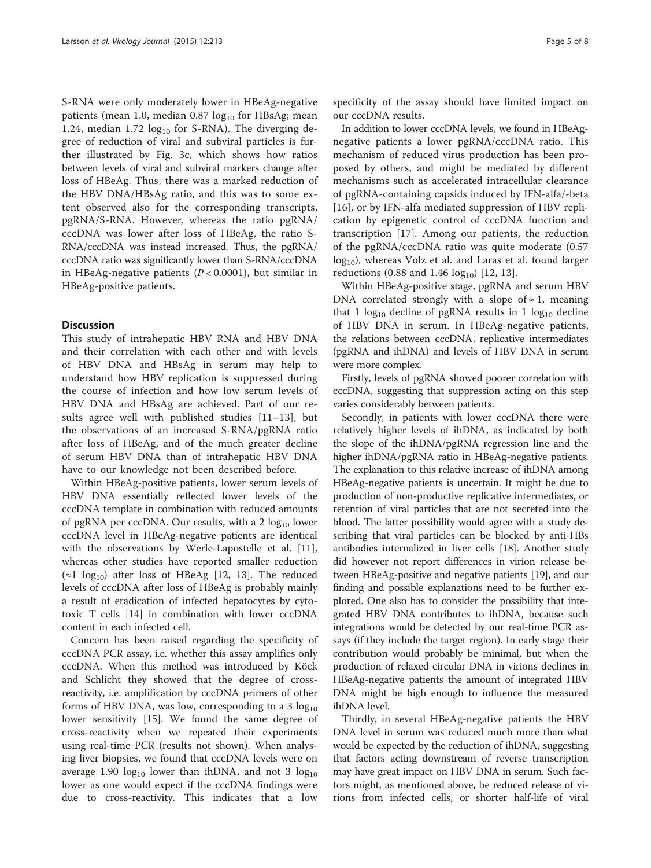S-RNA were only moderately lower in HBeAg-negative patients (mean 1.0, median  $0.87 \log_{10}$  for HBsAg; mean 1.24, median  $1.72 \text{ log}_{10}$  for S-RNA). The diverging degree of reduction of viral and subviral particles is further illustrated by Fig. [3c](#page-3-0), which shows how ratios between levels of viral and subviral markers change after loss of HBeAg. Thus, there was a marked reduction of the HBV DNA/HBsAg ratio, and this was to some extent observed also for the corresponding transcripts, pgRNA/S-RNA. However, whereas the ratio pgRNA/ cccDNA was lower after loss of HBeAg, the ratio S-RNA/cccDNA was instead increased. Thus, the pgRNA/ cccDNA ratio was significantly lower than S-RNA/cccDNA in HBeAg-negative patients  $(P < 0.0001)$ , but similar in HBeAg-positive patients.

#### **Discussion**

This study of intrahepatic HBV RNA and HBV DNA and their correlation with each other and with levels of HBV DNA and HBsAg in serum may help to understand how HBV replication is suppressed during the course of infection and how low serum levels of HBV DNA and HBsAg are achieved. Part of our results agree well with published studies [[11](#page-7-0)–[13\]](#page-7-0), but the observations of an increased S-RNA/pgRNA ratio after loss of HBeAg, and of the much greater decline of serum HBV DNA than of intrahepatic HBV DNA have to our knowledge not been described before.

Within HBeAg-positive patients, lower serum levels of HBV DNA essentially reflected lower levels of the cccDNA template in combination with reduced amounts of pgRNA per cccDNA. Our results, with a  $2 \log_{10}$  lower cccDNA level in HBeAg-negative patients are identical with the observations by Werle-Lapostelle et al. [\[11](#page-7-0)], whereas other studies have reported smaller reduction  $\approx$ 1 log<sub>10</sub>) after loss of HBeAg [[12, 13\]](#page-7-0). The reduced levels of cccDNA after loss of HBeAg is probably mainly a result of eradication of infected hepatocytes by cytotoxic T cells [[14\]](#page-7-0) in combination with lower cccDNA content in each infected cell.

Concern has been raised regarding the specificity of cccDNA PCR assay, i.e. whether this assay amplifies only cccDNA. When this method was introduced by Köck and Schlicht they showed that the degree of crossreactivity, i.e. amplification by cccDNA primers of other forms of HBV DNA, was low, corresponding to a 3  $log_{10}$ lower sensitivity [\[15](#page-7-0)]. We found the same degree of cross-reactivity when we repeated their experiments using real-time PCR (results not shown). When analysing liver biopsies, we found that cccDNA levels were on average 1.90  $log_{10}$  lower than ihDNA, and not 3  $log_{10}$ lower as one would expect if the cccDNA findings were due to cross-reactivity. This indicates that a low specificity of the assay should have limited impact on our cccDNA results.

In addition to lower cccDNA levels, we found in HBeAgnegative patients a lower pgRNA/cccDNA ratio. This mechanism of reduced virus production has been proposed by others, and might be mediated by different mechanisms such as accelerated intracellular clearance of pgRNA-containing capsids induced by IFN-alfa/-beta [[16\]](#page-7-0), or by IFN-alfa mediated suppression of HBV replication by epigenetic control of cccDNA function and transcription [\[17](#page-7-0)]. Among our patients, the reduction of the pgRNA/cccDNA ratio was quite moderate (0.57  $log_{10}$ , whereas Volz et al. and Laras et al. found larger reductions (0.88 and 1.46  $log_{10}$ ) [\[12](#page-7-0), [13](#page-7-0)].

Within HBeAg-positive stage, pgRNA and serum HBV DNA correlated strongly with a slope of  $\approx$  1, meaning that 1  $log_{10}$  decline of pgRNA results in 1  $log_{10}$  decline of HBV DNA in serum. In HBeAg-negative patients, the relations between cccDNA, replicative intermediates (pgRNA and ihDNA) and levels of HBV DNA in serum were more complex.

Firstly, levels of pgRNA showed poorer correlation with cccDNA, suggesting that suppression acting on this step varies considerably between patients.

Secondly, in patients with lower cccDNA there were relatively higher levels of ihDNA, as indicated by both the slope of the ihDNA/pgRNA regression line and the higher ihDNA/pgRNA ratio in HBeAg-negative patients. The explanation to this relative increase of ihDNA among HBeAg-negative patients is uncertain. It might be due to production of non-productive replicative intermediates, or retention of viral particles that are not secreted into the blood. The latter possibility would agree with a study describing that viral particles can be blocked by anti-HBs antibodies internalized in liver cells [\[18\]](#page-7-0). Another study did however not report differences in virion release between HBeAg-positive and negative patients [\[19\]](#page-7-0), and our finding and possible explanations need to be further explored. One also has to consider the possibility that integrated HBV DNA contributes to ihDNA, because such integrations would be detected by our real-time PCR assays (if they include the target region). In early stage their contribution would probably be minimal, but when the production of relaxed circular DNA in virions declines in HBeAg-negative patients the amount of integrated HBV DNA might be high enough to influence the measured ihDNA level.

Thirdly, in several HBeAg-negative patients the HBV DNA level in serum was reduced much more than what would be expected by the reduction of ihDNA, suggesting that factors acting downstream of reverse transcription may have great impact on HBV DNA in serum. Such factors might, as mentioned above, be reduced release of virions from infected cells, or shorter half-life of viral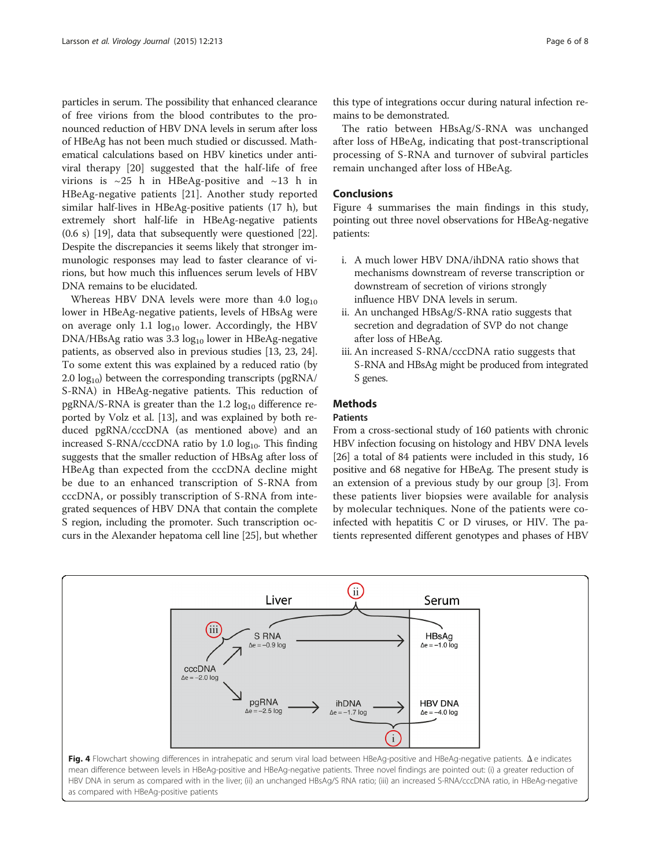particles in serum. The possibility that enhanced clearance of free virions from the blood contributes to the pronounced reduction of HBV DNA levels in serum after loss of HBeAg has not been much studied or discussed. Mathematical calculations based on HBV kinetics under antiviral therapy [[20](#page-7-0)] suggested that the half-life of free virions is ~25 h in HBeAg-positive and ~13 h in HBeAg-negative patients [\[21](#page-7-0)]. Another study reported similar half-lives in HBeAg-positive patients (17 h), but extremely short half-life in HBeAg-negative patients (0.6 s) [[19](#page-7-0)], data that subsequently were questioned [[22](#page-7-0)]. Despite the discrepancies it seems likely that stronger immunologic responses may lead to faster clearance of virions, but how much this influences serum levels of HBV DNA remains to be elucidated.

Whereas HBV DNA levels were more than  $4.0 \text{ log}_{10}$ lower in HBeAg-negative patients, levels of HBsAg were on average only 1.1  $log_{10}$  lower. Accordingly, the HBV DNA/HBsAg ratio was 3.3 log<sub>10</sub> lower in HBeAg-negative patients, as observed also in previous studies [[13](#page-7-0), [23](#page-7-0), [24](#page-7-0)]. To some extent this was explained by a reduced ratio (by 2.0  $log_{10}$ ) between the corresponding transcripts (pgRNA/ S-RNA) in HBeAg-negative patients. This reduction of pgRNA/S-RNA is greater than the  $1.2 \log_{10}$  difference reported by Volz et al. [[13](#page-7-0)], and was explained by both reduced pgRNA/cccDNA (as mentioned above) and an increased S-RNA/cccDNA ratio by 1.0 log<sub>10</sub>. This finding suggests that the smaller reduction of HBsAg after loss of HBeAg than expected from the cccDNA decline might be due to an enhanced transcription of S-RNA from cccDNA, or possibly transcription of S-RNA from integrated sequences of HBV DNA that contain the complete S region, including the promoter. Such transcription occurs in the Alexander hepatoma cell line [\[25](#page-7-0)], but whether this type of integrations occur during natural infection remains to be demonstrated.

The ratio between HBsAg/S-RNA was unchanged after loss of HBeAg, indicating that post-transcriptional processing of S-RNA and turnover of subviral particles remain unchanged after loss of HBeAg.

### Conclusions

Figure 4 summarises the main findings in this study, pointing out three novel observations for HBeAg-negative patients:

- i. A much lower HBV DNA/ihDNA ratio shows that mechanisms downstream of reverse transcription or downstream of secretion of virions strongly influence HBV DNA levels in serum.
- ii. An unchanged HBsAg/S-RNA ratio suggests that secretion and degradation of SVP do not change after loss of HBeAg.
- iii. An increased S-RNA/cccDNA ratio suggests that S-RNA and HBsAg might be produced from integrated S genes.

# **Methods**

## Patients

From a cross-sectional study of 160 patients with chronic HBV infection focusing on histology and HBV DNA levels [[26](#page-7-0)] a total of 84 patients were included in this study, 16 positive and 68 negative for HBeAg. The present study is an extension of a previous study by our group [\[3\]](#page-6-0). From these patients liver biopsies were available for analysis by molecular techniques. None of the patients were coinfected with hepatitis C or D viruses, or HIV. The patients represented different genotypes and phases of HBV

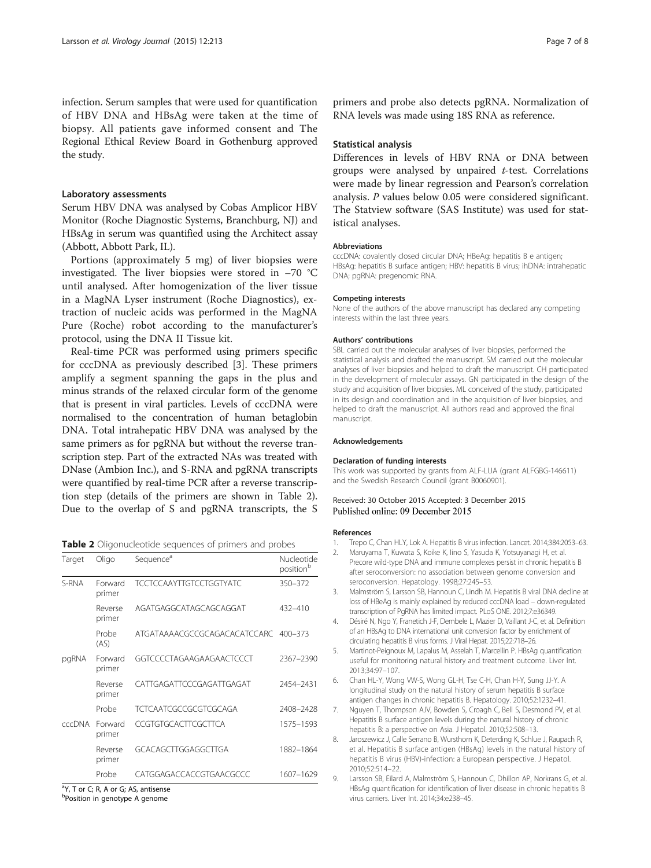<span id="page-6-0"></span>infection. Serum samples that were used for quantification of HBV DNA and HBsAg were taken at the time of biopsy. All patients gave informed consent and The Regional Ethical Review Board in Gothenburg approved the study.

#### Laboratory assessments

Serum HBV DNA was analysed by Cobas Amplicor HBV Monitor (Roche Diagnostic Systems, Branchburg, NJ) and HBsAg in serum was quantified using the Architect assay (Abbott, Abbott Park, IL).

Portions (approximately 5 mg) of liver biopsies were investigated. The liver biopsies were stored in –70 °C until analysed. After homogenization of the liver tissue in a MagNA Lyser instrument (Roche Diagnostics), extraction of nucleic acids was performed in the MagNA Pure (Roche) robot according to the manufacturer's protocol, using the DNA II Tissue kit.

Real-time PCR was performed using primers specific for cccDNA as previously described [3]. These primers amplify a segment spanning the gaps in the plus and minus strands of the relaxed circular form of the genome that is present in viral particles. Levels of cccDNA were normalised to the concentration of human betaglobin DNA. Total intrahepatic HBV DNA was analysed by the same primers as for pgRNA but without the reverse transcription step. Part of the extracted NAs was treated with DNase (Ambion Inc.), and S-RNA and pgRNA transcripts were quantified by real-time PCR after a reverse transcription step (details of the primers are shown in Table 2). Due to the overlap of S and pgRNA transcripts, the S

Table 2 Oligonucleotide sequences of primers and probes

| Target        | Oligo             | Sequence <sup>d</sup>          | Nucleotide<br>position <sup>b</sup> |
|---------------|-------------------|--------------------------------|-------------------------------------|
| S-RNA         | Forward<br>primer | <b>TCCTCCAAYTTGTCCTGGTYATC</b> | 350-372                             |
|               | Reverse<br>primer | AGATGAGGCATAGCAGCAGGAT         | $432 - 410$                         |
|               | Probe<br>(AS)     | ATGATAAAACGCCGCAGACACATCCARC   | $400 - 373$                         |
| pgRNA         | Forward<br>primer | GGTCCCCTAGAAGAAGAACTCCCT       | 2367-2390                           |
|               | Reverse<br>primer | CATTGAGATTCCCGAGATTGAGAT       | 2454-2431                           |
|               | Probe             | TCTCAATCGCCGCGTCGCAGA          | 2408-2428                           |
| <b>CCCDNA</b> | Forward<br>primer | CCGTGTGCACTTCGCTTCA            | 1575-1593                           |
|               | Reverse<br>primer | GCACAGCTTGGAGGCTTGA            | 1882-1864                           |
|               | Probe             | CATGGAGACCACCGTGAACGCCC        | 1607-1629                           |

<sup>a</sup>Y, T or C; R, A or G; AS, antisense

<sup>b</sup>Position in genotype A genome

primers and probe also detects pgRNA. Normalization of RNA levels was made using 18S RNA as reference.

#### Statistical analysis

Differences in levels of HBV RNA or DNA between groups were analysed by unpaired t-test. Correlations were made by linear regression and Pearson's correlation analysis. P values below 0.05 were considered significant. The Statview software (SAS Institute) was used for statistical analyses.

#### Abbreviations

cccDNA: covalently closed circular DNA; HBeAg: hepatitis B e antigen; HBsAg: hepatitis B surface antigen; HBV: hepatitis B virus; ihDNA: intrahepatic DNA; pgRNA: pregenomic RNA.

#### Competing interests

None of the authors of the above manuscript has declared any competing interests within the last three years.

#### Authors' contributions

SBL carried out the molecular analyses of liver biopsies, performed the statistical analysis and drafted the manuscript. SM carried out the molecular analyses of liver biopsies and helped to draft the manuscript. CH participated in the development of molecular assays. GN participated in the design of the study and acquisition of liver biopsies. ML conceived of the study, participated in its design and coordination and in the acquisition of liver biopsies, and helped to draft the manuscript. All authors read and approved the final manuscript.

#### Acknowledgements

#### Declaration of funding interests

This work was supported by grants from ALF-LUA (grant ALFGBG-146611) and the Swedish Research Council (grant B0060901).

#### Received: 30 October 2015 Accepted: 3 December 2015 Published online: 09 December 2015

#### References

- 1. Trepo C, Chan HLY, Lok A. Hepatitis B virus infection. Lancet. 2014;384:2053–63.
- 2. Maruyama T, Kuwata S, Koike K, Iino S, Yasuda K, Yotsuyanagi H, et al. Precore wild-type DNA and immune complexes persist in chronic hepatitis B after seroconversion: no association between genome conversion and seroconversion. Hepatology. 1998;27:245–53.
- 3. Malmström S, Larsson SB, Hannoun C, Lindh M. Hepatitis B viral DNA decline at loss of HBeAg is mainly explained by reduced cccDNA load – down-regulated transcription of PgRNA has limited impact. PLoS ONE. 2012;7:e36349.
- 4. Désiré N, Ngo Y, Franetich J-F, Dembele L, Mazier D, Vaillant J-C, et al. Definition of an HBsAg to DNA international unit conversion factor by enrichment of circulating hepatitis B virus forms. J Viral Hepat. 2015;22:718–26.
- 5. Martinot-Peignoux M, Lapalus M, Asselah T, Marcellin P. HBsAg quantification: useful for monitoring natural history and treatment outcome. Liver Int. 2013;34:97–107.
- 6. Chan HL-Y, Wong VW-S, Wong GL-H, Tse C-H, Chan H-Y, Sung JJ-Y. A longitudinal study on the natural history of serum hepatitis B surface antigen changes in chronic hepatitis B. Hepatology. 2010;52:1232–41.
- 7. Nguyen T, Thompson AJV, Bowden S, Croagh C, Bell S, Desmond PV, et al. Hepatitis B surface antigen levels during the natural history of chronic hepatitis B: a perspective on Asia. J Hepatol. 2010;52:508–13.
- 8. Jaroszewicz J, Calle Serrano B, Wursthorn K, Deterding K, Schlue J, Raupach R, et al. Hepatitis B surface antigen (HBsAg) levels in the natural history of hepatitis B virus (HBV)-infection: a European perspective. J Hepatol. 2010;52:514–22.
- 9. Larsson SB, Eilard A, Malmström S, Hannoun C, Dhillon AP, Norkrans G, et al. HBsAg quantification for identification of liver disease in chronic hepatitis B virus carriers. Liver Int. 2014;34:e238–45.